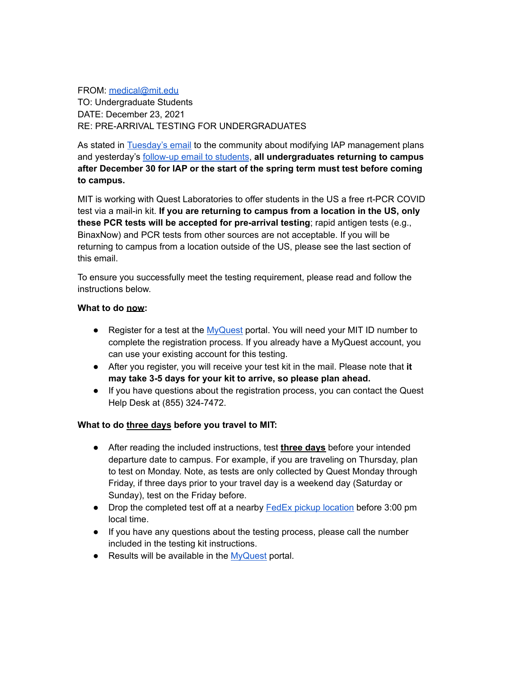FROM: [medical@mit.edu](mailto:medical@mit.edu)

TO: Undergraduate Students DATE: December 23, 2021 RE: PRE-ARRIVAL TESTING FOR UNDERGRADUATES

As stated in [Tuesday's email](https://orgchart.mit.edu/node/15/letters_to_community/response-omicron-plans-january) to the community about modifying IAP management plans and yesterday's [follow-up email to students](https://orgchart.mit.edu/node/13/letters_to_community/action-required-1227-make-informed-decision-about-iap-and-complete), **all undergraduates returning to campus after December 30 for IAP or the start of the spring term must test before coming to campus.**

MIT is working with Quest Laboratories to offer students in the US a free rt-PCR COVID test via a mail-in kit. **If you are returning to campus from a location in the US, only these PCR tests will be accepted for pre-arrival testing**; rapid antigen tests (e.g., BinaxNow) and PCR tests from other sources are not acceptable. If you will be returning to campus from a location outside of the US, please see the last section of this email.

To ensure you successfully meet the testing requirement, please read and follow the instructions below.

### **What to do now:**

- Register for a test at the [MyQuest](https://myquest.questdiagnostics.com/web/program?programid=mit-lincn) portal. You will need your MIT ID number to complete the registration process. If you already have a MyQuest account, you can use your existing account for this testing.
- After you register, you will receive your test kit in the mail. Please note that **it may take 3-5 days for your kit to arrive, so please plan ahead.**
- If you have questions about the registration process, you can contact the Quest Help Desk at (855) 324-7472.

# **What to do three days before you travel to MIT:**

- After reading the included instructions, test **three days** before your intended departure date to campus. For example, if you are traveling on Thursday, plan to test on Monday. Note, as tests are only collected by Quest Monday through Friday, if three days prior to your travel day is a weekend day (Saturday or Sunday), test on the Friday before.
- Drop the completed test off at a nearby **[FedEx pickup](https://www.fedex.com/locate/) location** before 3:00 pm local time.
- If you have any questions about the testing process, please call the number included in the testing kit instructions.
- Results will be available in the [MyQuest](https://myquest.questdiagnostics.com/web/program?programid=mit-lincn) portal.